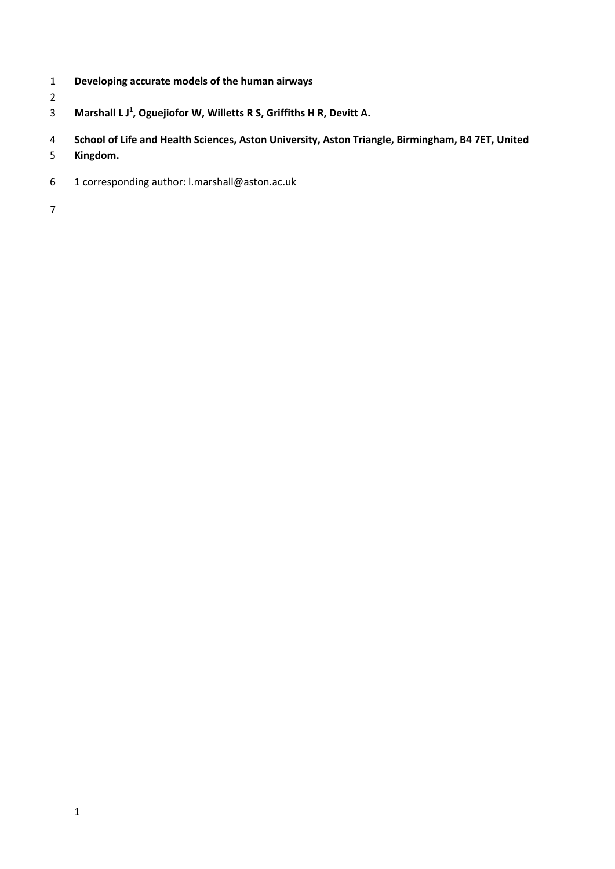- **Developing accurate models of the human airways**
- **Marshall L J <sup>1</sup> , Oguejiofor W, Willetts R S, Griffiths H R, Devitt A.**
- **School of Life and Health Sciences, Aston University, Aston Triangle, Birmingham, B4 7ET, United**
- **Kingdom.**
- 1 corresponding author: l.marshall@aston.ac.uk
-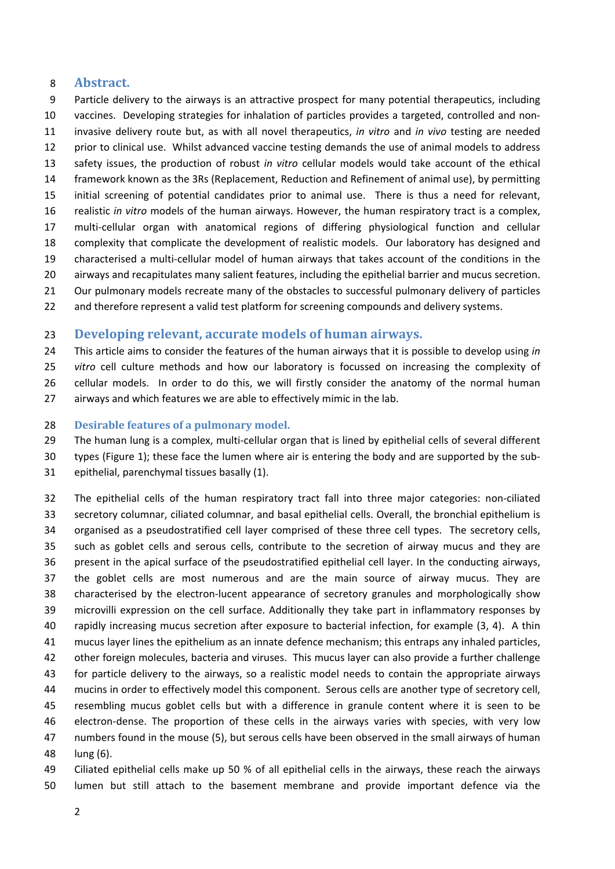## **Abstract.**

 Particle delivery to the airways is an attractive prospect for many potential therapeutics, including vaccines. Developing strategies for inhalation of particles provides a targeted, controlled and non‐ invasive delivery route but, as with all novel therapeutics, *in vitro* and *in vivo* testing are needed prior to clinical use. Whilst advanced vaccine testing demands the use of animal models to address safety issues, the production of robust *in vitro* cellular models would take account of the ethical framework known as the 3Rs (Replacement, Reduction and Refinement of animal use), by permitting initial screening of potential candidates prior to animal use. There is thus a need for relevant, realistic *in vitro* models of the human airways. However, the human respiratory tract is a complex, 17 multi-cellular organ with anatomical regions of differing physiological function and cellular complexity that complicate the development of realistic models. Our laboratory has designed and 19 characterised a multi-cellular model of human airways that takes account of the conditions in the airways and recapitulates many salient features, including the epithelial barrier and mucus secretion. Our pulmonary models recreate many of the obstacles to successful pulmonary delivery of particles

22 and therefore represent a valid test platform for screening compounds and delivery systems.

## **Developing relevant, accurate models of human airways.**

 This article aims to consider the features of the human airways that it is possible to develop using *in vitro* cell culture methods and how our laboratory is focussed on increasing the complexity of 26 cellular models. In order to do this, we will firstly consider the anatomy of the normal human airways and which features we are able to effectively mimic in the lab.

#### **Desirable features of a pulmonary model.**

29 The human lung is a complex, multi-cellular organ that is lined by epithelial cells of several different

types (Figure 1); these face the lumen where air is entering the body and are supported by the sub‐

epithelial, parenchymal tissues basally (1).

32 The epithelial cells of the human respiratory tract fall into three major categories: non-ciliated secretory columnar, ciliated columnar, and basal epithelial cells. Overall, the bronchial epithelium is organised as a pseudostratified cell layer comprised of these three cell types. The secretory cells, such as goblet cells and serous cells, contribute to the secretion of airway mucus and they are present in the apical surface of the pseudostratified epithelial cell layer. In the conducting airways, the goblet cells are most numerous and are the main source of airway mucus. They are 38 characterised by the electron-lucent appearance of secretory granules and morphologically show microvilli expression on the cell surface. Additionally they take part in inflammatory responses by rapidly increasing mucus secretion after exposure to bacterial infection, for example (3, 4). A thin mucus layer lines the epithelium as an innate defence mechanism; this entraps any inhaled particles, other foreign molecules, bacteria and viruses. This mucus layer can also provide a further challenge for particle delivery to the airways, so a realistic model needs to contain the appropriate airways mucins in order to effectively model this component. Serous cells are another type of secretory cell, resembling mucus goblet cells but with a difference in granule content where it is seen to be 46 electron-dense. The proportion of these cells in the airways varies with species, with very low numbers found in the mouse (5), but serous cells have been observed in the small airways of human lung (6).

 Ciliated epithelial cells make up 50 % of all epithelial cells in the airways, these reach the airways lumen but still attach to the basement membrane and provide important defence via the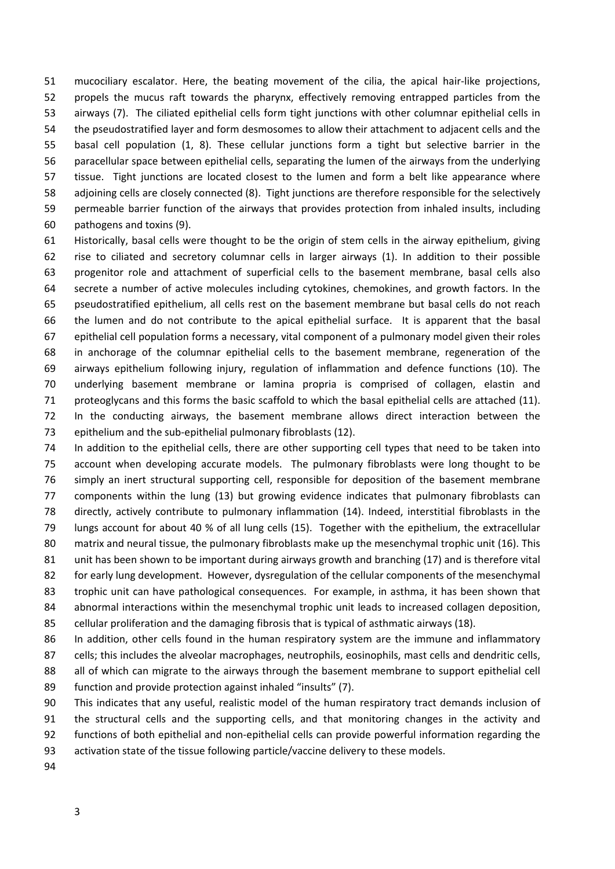mucociliary escalator. Here, the beating movement of the cilia, the apical hair‐like projections, propels the mucus raft towards the pharynx, effectively removing entrapped particles from the airways (7). The ciliated epithelial cells form tight junctions with other columnar epithelial cells in the pseudostratified layer and form desmosomes to allow their attachment to adjacent cells and the basal cell population (1, 8). These cellular junctions form a tight but selective barrier in the paracellular space between epithelial cells, separating the lumen of the airways from the underlying 57 tissue. Tight junctions are located closest to the lumen and form a belt like appearance where adjoining cells are closely connected (8). Tight junctions are therefore responsible for the selectively permeable barrier function of the airways that provides protection from inhaled insults, including pathogens and toxins (9).

 Historically, basal cells were thought to be the origin of stem cells in the airway epithelium, giving rise to ciliated and secretory columnar cells in larger airways (1). In addition to their possible progenitor role and attachment of superficial cells to the basement membrane, basal cells also secrete a number of active molecules including cytokines, chemokines, and growth factors. In the pseudostratified epithelium, all cells rest on the basement membrane but basal cells do not reach the lumen and do not contribute to the apical epithelial surface. It is apparent that the basal epithelial cell population forms a necessary, vital component of a pulmonary model given their roles in anchorage of the columnar epithelial cells to the basement membrane, regeneration of the airways epithelium following injury, regulation of inflammation and defence functions (10). The underlying basement membrane or lamina propria is comprised of collagen, elastin and 71 proteoglycans and this forms the basic scaffold to which the basal epithelial cells are attached (11). In the conducting airways, the basement membrane allows direct interaction between the 73 epithelium and the sub-epithelial pulmonary fibroblasts (12).

 In addition to the epithelial cells, there are other supporting cell types that need to be taken into 75 account when developing accurate models. The pulmonary fibroblasts were long thought to be simply an inert structural supporting cell, responsible for deposition of the basement membrane components within the lung (13) but growing evidence indicates that pulmonary fibroblasts can directly, actively contribute to pulmonary inflammation (14). Indeed, interstitial fibroblasts in the lungs account for about 40 % of all lung cells (15). Together with the epithelium, the extracellular 80 matrix and neural tissue, the pulmonary fibroblasts make up the mesenchymal trophic unit (16). This 81 unit has been shown to be important during airways growth and branching (17) and is therefore vital for early lung development. However, dysregulation of the cellular components of the mesenchymal 83 trophic unit can have pathological consequences. For example, in asthma, it has been shown that 84 abnormal interactions within the mesenchymal trophic unit leads to increased collagen deposition, cellular proliferation and the damaging fibrosis that is typical of asthmatic airways (18).

 In addition, other cells found in the human respiratory system are the immune and inflammatory 87 cells; this includes the alveolar macrophages, neutrophils, eosinophils, mast cells and dendritic cells, all of which can migrate to the airways through the basement membrane to support epithelial cell function and provide protection against inhaled "insults" (7).

 This indicates that any useful, realistic model of the human respiratory tract demands inclusion of the structural cells and the supporting cells, and that monitoring changes in the activity and 92 functions of both epithelial and non-epithelial cells can provide powerful information regarding the activation state of the tissue following particle/vaccine delivery to these models.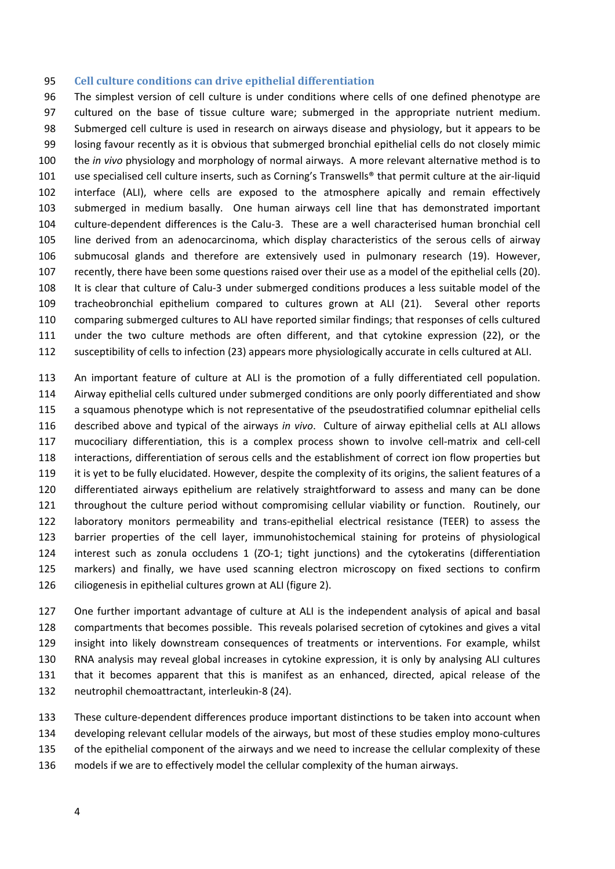#### **Cell culture conditions can drive epithelial differentiation**

 The simplest version of cell culture is under conditions where cells of one defined phenotype are cultured on the base of tissue culture ware; submerged in the appropriate nutrient medium. Submerged cell culture is used in research on airways disease and physiology, but it appears to be losing favour recently as it is obvious that submerged bronchial epithelial cells do not closely mimic the *in vivo* physiology and morphology of normal airways. A more relevant alternative method is to use specialised cell culture inserts, such as Corning's Transwells® that permit culture at the air‐liquid interface (ALI), where cells are exposed to the atmosphere apically and remain effectively submerged in medium basally. One human airways cell line that has demonstrated important 104 culture-dependent differences is the Calu-3. These are a well characterised human bronchial cell line derived from an adenocarcinoma, which display characteristics of the serous cells of airway submucosal glands and therefore are extensively used in pulmonary research (19). However, recently, there have been some questions raised over their use as a model of the epithelial cells (20). 108 It is clear that culture of Calu-3 under submerged conditions produces a less suitable model of the 109 tracheobronchial epithelium compared to cultures grown at ALI (21). Several other reports comparing submerged cultures to ALI have reported similar findings; that responses of cells cultured under the two culture methods are often different, and that cytokine expression (22), or the susceptibility of cells to infection (23) appears more physiologically accurate in cells cultured at ALI.

 An important feature of culture at ALI is the promotion of a fully differentiated cell population. Airway epithelial cells cultured under submerged conditions are only poorly differentiated and show a squamous phenotype which is not representative of the pseudostratified columnar epithelial cells described above and typical of the airways *in vivo*. Culture of airway epithelial cells at ALI allows 117 mucociliary differentiation, this is a complex process shown to involve cell-matrix and cell-cell interactions, differentiation of serous cells and the establishment of correct ion flow properties but it is yet to be fully elucidated. However, despite the complexity of its origins, the salient features of a differentiated airways epithelium are relatively straightforward to assess and many can be done throughout the culture period without compromising cellular viability or function. Routinely, our 122 laboratory monitors permeability and trans-epithelial electrical resistance (TEER) to assess the barrier properties of the cell layer, immunohistochemical staining for proteins of physiological 124 interest such as zonula occludens 1 (ZO-1; tight junctions) and the cytokeratins (differentiation markers) and finally, we have used scanning electron microscopy on fixed sections to confirm ciliogenesis in epithelial cultures grown at ALI (figure 2).

 One further important advantage of culture at ALI is the independent analysis of apical and basal compartments that becomes possible. This reveals polarised secretion of cytokines and gives a vital insight into likely downstream consequences of treatments or interventions. For example, whilst RNA analysis may reveal global increases in cytokine expression, it is only by analysing ALI cultures that it becomes apparent that this is manifest as an enhanced, directed, apical release of the neutrophil chemoattractant, interleukin‐8 (24).

 These culture‐dependent differences produce important distinctions to be taken into account when 134 developing relevant cellular models of the airways, but most of these studies employ mono-cultures 135 of the epithelial component of the airways and we need to increase the cellular complexity of these models if we are to effectively model the cellular complexity of the human airways.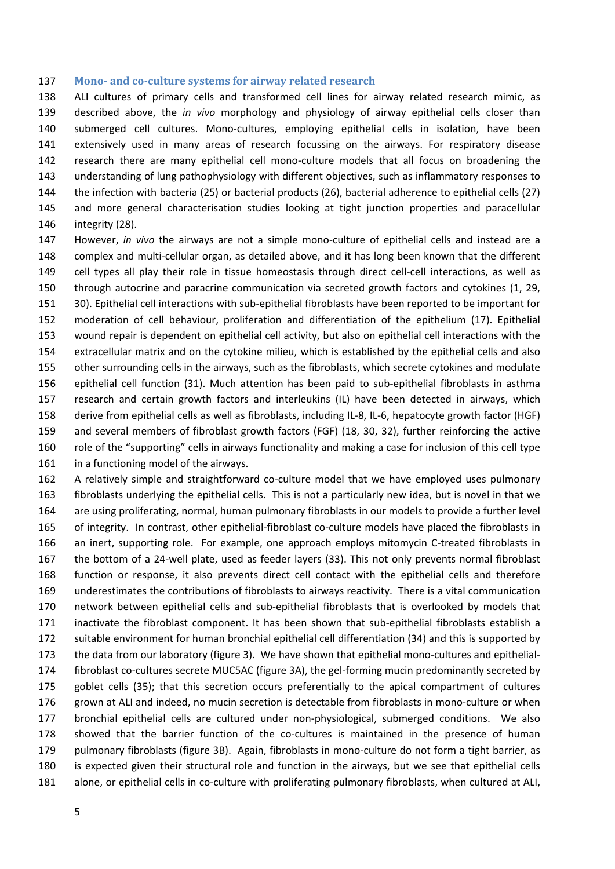#### **Mono‐ and co‐culture systems for airway related research**

 ALI cultures of primary cells and transformed cell lines for airway related research mimic, as described above, the *in vivo* morphology and physiology of airway epithelial cells closer than 140 submerged cell cultures. Mono-cultures, employing epithelial cells in isolation, have been extensively used in many areas of research focussing on the airways. For respiratory disease research there are many epithelial cell mono‐culture models that all focus on broadening the understanding of lung pathophysiology with different objectives, such as inflammatory responses to the infection with bacteria (25) or bacterial products (26), bacterial adherence to epithelial cells (27) and more general characterisation studies looking at tight junction properties and paracellular integrity (28).

 However, *in vivo* the airways are not a simple mono‐culture of epithelial cells and instead are a 148 complex and multi-cellular organ, as detailed above, and it has long been known that the different 149 cell types all play their role in tissue homeostasis through direct cell-cell interactions, as well as through autocrine and paracrine communication via secreted growth factors and cytokines (1, 29, 30). Epithelial cell interactions with sub‐epithelial fibroblasts have been reported to be important for moderation of cell behaviour, proliferation and differentiation of the epithelium (17). Epithelial wound repair is dependent on epithelial cell activity, but also on epithelial cell interactions with the extracellular matrix and on the cytokine milieu, which is established by the epithelial cells and also other surrounding cells in the airways, such as the fibroblasts, which secrete cytokines and modulate epithelial cell function (31). Much attention has been paid to sub‐epithelial fibroblasts in asthma research and certain growth factors and interleukins (IL) have been detected in airways, which derive from epithelial cells as well as fibroblasts, including IL‐8, IL‐6, hepatocyte growth factor (HGF) and several members of fibroblast growth factors (FGF) (18, 30, 32), further reinforcing the active role of the "supporting" cells in airways functionality and making a case for inclusion of this cell type in a functioning model of the airways.

162 A relatively simple and straightforward co-culture model that we have employed uses pulmonary fibroblasts underlying the epithelial cells. This is not a particularly new idea, but is novel in that we are using proliferating, normal, human pulmonary fibroblasts in our models to provide a further level 165 of integrity. In contrast, other epithelial-fibroblast co-culture models have placed the fibroblasts in 166 an inert, supporting role. For example, one approach employs mitomycin C-treated fibroblasts in 167 the bottom of a 24-well plate, used as feeder layers (33). This not only prevents normal fibroblast function or response, it also prevents direct cell contact with the epithelial cells and therefore underestimates the contributions of fibroblasts to airways reactivity. There is a vital communication network between epithelial cells and sub‐epithelial fibroblasts that is overlooked by models that 171 inactivate the fibroblast component. It has been shown that sub-epithelial fibroblasts establish a suitable environment for human bronchial epithelial cell differentiation (34) and this is supported by 173 the data from our laboratory (figure 3). We have shown that epithelial mono-cultures and epithelial-174 fibroblast co-cultures secrete MUC5AC (figure 3A), the gel-forming mucin predominantly secreted by goblet cells (35); that this secretion occurs preferentially to the apical compartment of cultures 176 grown at ALI and indeed, no mucin secretion is detectable from fibroblasts in mono-culture or when 177 bronchial epithelial cells are cultured under non-physiological, submerged conditions. We also 178 showed that the barrier function of the co-cultures is maintained in the presence of human 179 pulmonary fibroblasts (figure 3B). Again, fibroblasts in mono-culture do not form a tight barrier, as is expected given their structural role and function in the airways, but we see that epithelial cells 181 alone, or epithelial cells in co-culture with proliferating pulmonary fibroblasts, when cultured at ALI,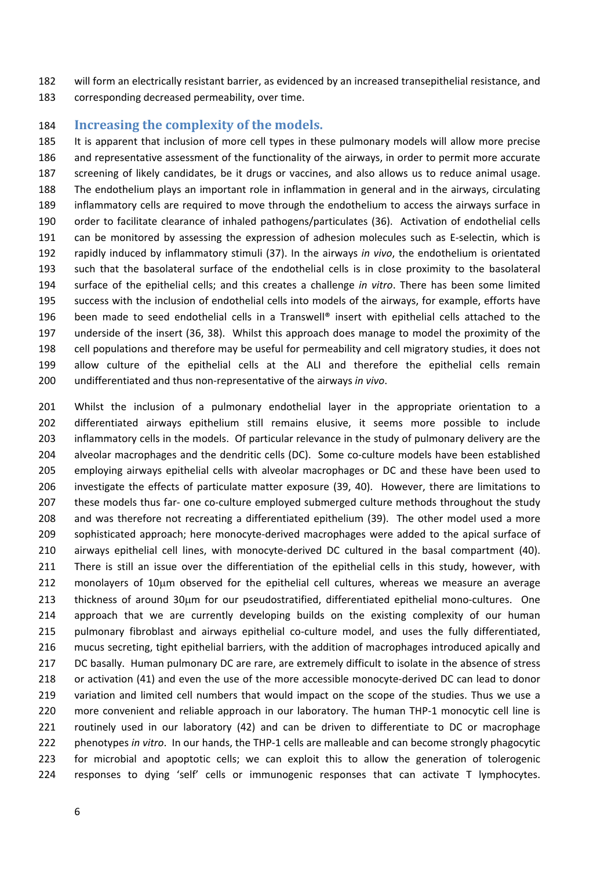will form an electrically resistant barrier, as evidenced by an increased transepithelial resistance, and corresponding decreased permeability, over time.

### **Increasing the complexity of the models.**

 It is apparent that inclusion of more cell types in these pulmonary models will allow more precise and representative assessment of the functionality of the airways, in order to permit more accurate screening of likely candidates, be it drugs or vaccines, and also allows us to reduce animal usage. The endothelium plays an important role in inflammation in general and in the airways, circulating inflammatory cells are required to move through the endothelium to access the airways surface in order to facilitate clearance of inhaled pathogens/particulates (36). Activation of endothelial cells 191 can be monitored by assessing the expression of adhesion molecules such as E-selectin, which is rapidly induced by inflammatory stimuli (37). In the airways *in vivo*, the endothelium is orientated such that the basolateral surface of the endothelial cells is in close proximity to the basolateral surface of the epithelial cells; and this creates a challenge *in vitro*. There has been some limited success with the inclusion of endothelial cells into models of the airways, for example, efforts have 196 been made to seed endothelial cells in a Transwell® insert with epithelial cells attached to the underside of the insert (36, 38). Whilst this approach does manage to model the proximity of the cell populations and therefore may be useful for permeability and cell migratory studies, it does not allow culture of the epithelial cells at the ALI and therefore the epithelial cells remain undifferentiated and thus non‐representative of the airways *in vivo*.

 Whilst the inclusion of a pulmonary endothelial layer in the appropriate orientation to a differentiated airways epithelium still remains elusive, it seems more possible to include inflammatory cells in the models. Of particular relevance in the study of pulmonary delivery are the 204 alveolar macrophages and the dendritic cells (DC). Some co-culture models have been established employing airways epithelial cells with alveolar macrophages or DC and these have been used to investigate the effects of particulate matter exposure (39, 40). However, there are limitations to 207 these models thus far- one co-culture employed submerged culture methods throughout the study and was therefore not recreating a differentiated epithelium (39). The other model used a more sophisticated approach; here monocyte‐derived macrophages were added to the apical surface of 210 airways epithelial cell lines, with monocyte-derived DC cultured in the basal compartment (40). There is still an issue over the differentiation of the epithelial cells in this study, however, with monolayers of 10 $\mu$ m observed for the epithelial cell cultures, whereas we measure an average 213 thickness of around 30µm for our pseudostratified, differentiated epithelial mono-cultures. One approach that we are currently developing builds on the existing complexity of our human 215 pulmonary fibroblast and airways epithelial co-culture model, and uses the fully differentiated, mucus secreting, tight epithelial barriers, with the addition of macrophages introduced apically and DC basally. Human pulmonary DC are rare, are extremely difficult to isolate in the absence of stress 218 or activation (41) and even the use of the more accessible monocyte-derived DC can lead to donor variation and limited cell numbers that would impact on the scope of the studies. Thus we use a 220 more convenient and reliable approach in our laboratory. The human THP-1 monocytic cell line is routinely used in our laboratory (42) and can be driven to differentiate to DC or macrophage phenotypes *in vitro*. In our hands, the THP‐1 cells are malleable and can become strongly phagocytic for microbial and apoptotic cells; we can exploit this to allow the generation of tolerogenic responses to dying 'self' cells or immunogenic responses that can activate T lymphocytes.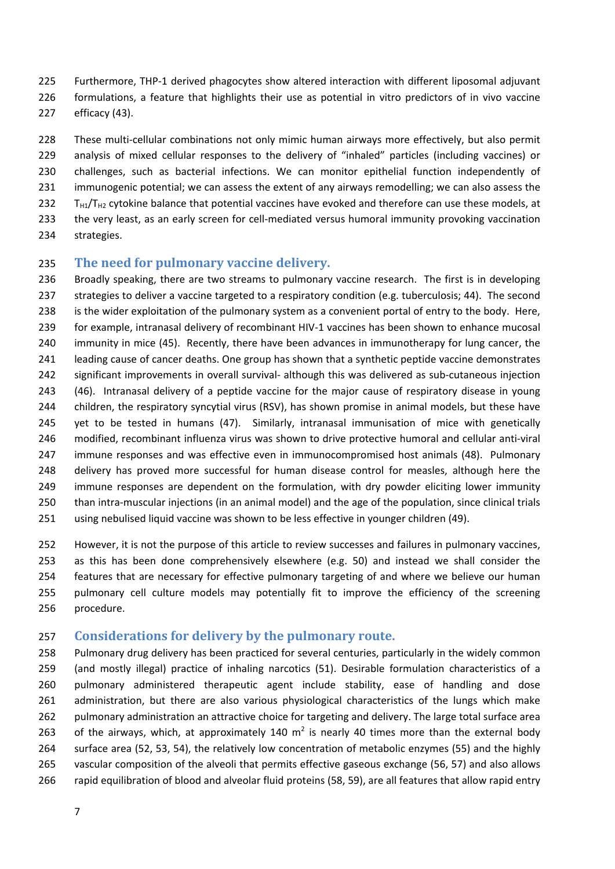- 225 Furthermore, THP-1 derived phagocytes show altered interaction with different liposomal adjuvant formulations, a feature that highlights their use as potential in vitro predictors of in vivo vaccine efficacy (43).
- 228 These multi-cellular combinations not only mimic human airways more effectively, but also permit analysis of mixed cellular responses to the delivery of "inhaled" particles (including vaccines) or challenges, such as bacterial infections. We can monitor epithelial function independently of immunogenic potential; we can assess the extent of any airways remodelling; we can also assess the T<sub>H1</sub>/T<sub>H2</sub> cytokine balance that potential vaccines have evoked and therefore can use these models, at 233 the very least, as an early screen for cell-mediated versus humoral immunity provoking vaccination
- strategies.

# **The need for pulmonary vaccine delivery.**

 Broadly speaking, there are two streams to pulmonary vaccine research. The first is in developing strategies to deliver a vaccine targeted to a respiratory condition (e.g. tuberculosis; 44). The second is the wider exploitation of the pulmonary system as a convenient portal of entry to the body. Here, for example, intranasal delivery of recombinant HIV‐1 vaccines has been shown to enhance mucosal 240 immunity in mice (45). Recently, there have been advances in immunotherapy for lung cancer, the leading cause of cancer deaths. One group has shown that a synthetic peptide vaccine demonstrates 242 significant improvements in overall survival- although this was delivered as sub-cutaneous injection (46). Intranasal delivery of a peptide vaccine for the major cause of respiratory disease in young children, the respiratory syncytial virus (RSV), has shown promise in animal models, but these have 245 yet to be tested in humans (47). Similarly, intranasal immunisation of mice with genetically 246 modified, recombinant influenza virus was shown to drive protective humoral and cellular anti-viral immune responses and was effective even in immunocompromised host animals (48). Pulmonary 248 delivery has proved more successful for human disease control for measles, although here the 249 immune responses are dependent on the formulation, with dry powder eliciting lower immunity than intra‐muscular injections (in an animal model) and the age of the population, since clinical trials using nebulised liquid vaccine was shown to be less effective in younger children (49).

 However, it is not the purpose of this article to review successes and failures in pulmonary vaccines, as this has been done comprehensively elsewhere (e.g. 50) and instead we shall consider the features that are necessary for effective pulmonary targeting of and where we believe our human pulmonary cell culture models may potentially fit to improve the efficiency of the screening procedure.

## **Considerations for delivery by the pulmonary route.**

 Pulmonary drug delivery has been practiced for several centuries, particularly in the widely common (and mostly illegal) practice of inhaling narcotics (51). Desirable formulation characteristics of a pulmonary administered therapeutic agent include stability, ease of handling and dose administration, but there are also various physiological characteristics of the lungs which make 262 pulmonary administration an attractive choice for targeting and delivery. The large total surface area 263 of the airways, which, at approximately 140  $m^2$  is nearly 40 times more than the external body surface area (52, 53, 54), the relatively low concentration of metabolic enzymes (55) and the highly vascular composition of the alveoli that permits effective gaseous exchange (56, 57) and also allows rapid equilibration of blood and alveolar fluid proteins (58, 59), are all features that allow rapid entry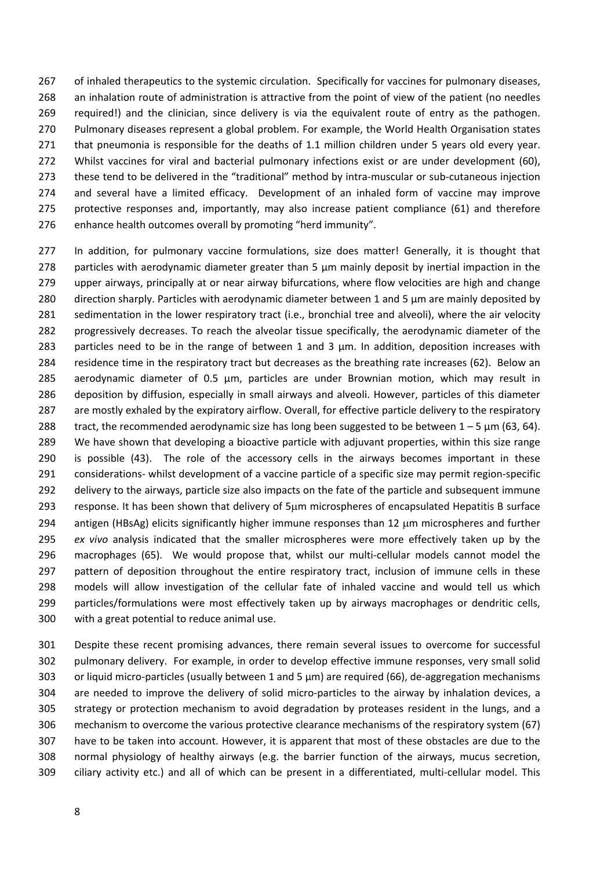267 of inhaled therapeutics to the systemic circulation. Specifically for vaccines for pulmonary diseases, an inhalation route of administration is attractive from the point of view of the patient (no needles required!) and the clinician, since delivery is via the equivalent route of entry as the pathogen. Pulmonary diseases represent a global problem. For example, the World Health Organisation states that pneumonia is responsible for the deaths of 1.1 million children under 5 years old every year. Whilst vaccines for viral and bacterial pulmonary infections exist or are under development (60), 273 these tend to be delivered in the "traditional" method by intra-muscular or sub-cutaneous injection 274 and several have a limited efficacy. Development of an inhaled form of vaccine may improve protective responses and, importantly, may also increase patient compliance (61) and therefore enhance health outcomes overall by promoting "herd immunity".

 In addition, for pulmonary vaccine formulations, size does matter! Generally, it is thought that particles with aerodynamic diameter greater than 5 μm mainly deposit by inertial impaction in the upper airways, principally at or near airway bifurcations, where flow velocities are high and change direction sharply. Particles with aerodynamic diameter between 1 and 5 μm are mainly deposited by sedimentation in the lower respiratory tract (i.e., bronchial tree and alveoli), where the air velocity progressively decreases. To reach the alveolar tissue specifically, the aerodynamic diameter of the particles need to be in the range of between 1 and 3 μm. In addition, deposition increases with residence time in the respiratory tract but decreases as the breathing rate increases (62). Below an aerodynamic diameter of 0.5 μm, particles are under Brownian motion, which may result in deposition by diffusion, especially in small airways and alveoli. However, particles of this diameter are mostly exhaled by the expiratory airflow. Overall, for effective particle delivery to the respiratory 288 tract, the recommended aerodynamic size has long been suggested to be between  $1 - 5 \mu m$  (63, 64). We have shown that developing a bioactive particle with adjuvant properties, within this size range 290 is possible (43). The role of the accessory cells in the airways becomes important in these 291 considerations‐ whilst development of a vaccine particle of a specific size may permit region‐specific 292 delivery to the airways, particle size also impacts on the fate of the particle and subsequent immune 293 response. It has been shown that delivery of 5um microspheres of encapsulated Hepatitis B surface 294 antigen (HBsAg) elicits significantly higher immune responses than  $12 \mu m$  microspheres and further *ex vivo* analysis indicated that the smaller microspheres were more effectively taken up by the 296 macrophages (65). We would propose that, whilst our multi-cellular models cannot model the 297 pattern of deposition throughout the entire respiratory tract, inclusion of immune cells in these models will allow investigation of the cellular fate of inhaled vaccine and would tell us which 299 particles/formulations were most effectively taken up by airways macrophages or dendritic cells, with a great potential to reduce animal use.

 Despite these recent promising advances, there remain several issues to overcome for successful pulmonary delivery. For example, in order to develop effective immune responses, very small solid 303 or liquid micro-particles (usually between 1 and 5  $\mu$ m) are required (66), de-aggregation mechanisms 304 are needed to improve the delivery of solid micro-particles to the airway by inhalation devices, a strategy or protection mechanism to avoid degradation by proteases resident in the lungs, and a mechanism to overcome the various protective clearance mechanisms of the respiratory system (67) have to be taken into account. However, it is apparent that most of these obstacles are due to the normal physiology of healthy airways (e.g. the barrier function of the airways, mucus secretion, 309 ciliary activity etc.) and all of which can be present in a differentiated, multi-cellular model. This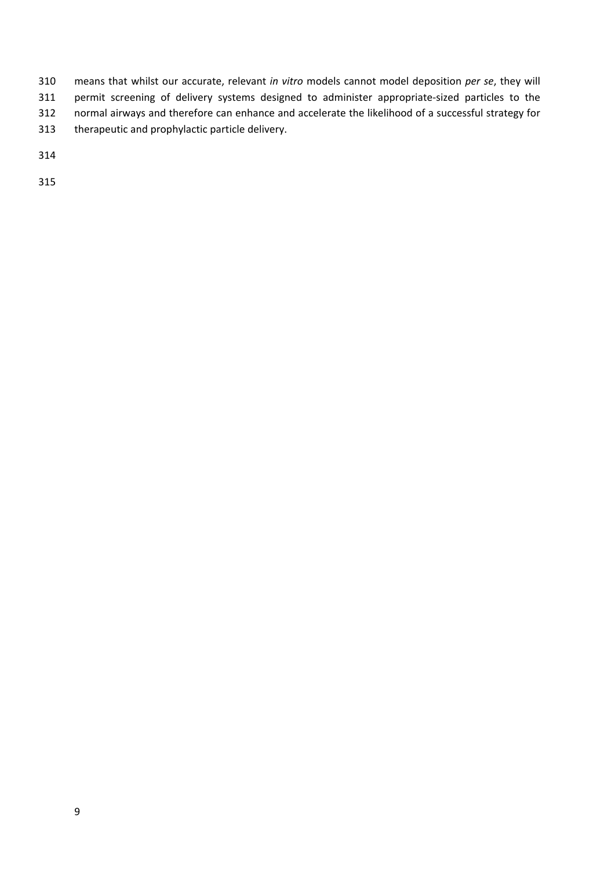means that whilst our accurate, relevant *in vitro* models cannot model deposition *per se*, they will 311 permit screening of delivery systems designed to administer appropriate-sized particles to the normal airways and therefore can enhance and accelerate the likelihood of a successful strategy for therapeutic and prophylactic particle delivery.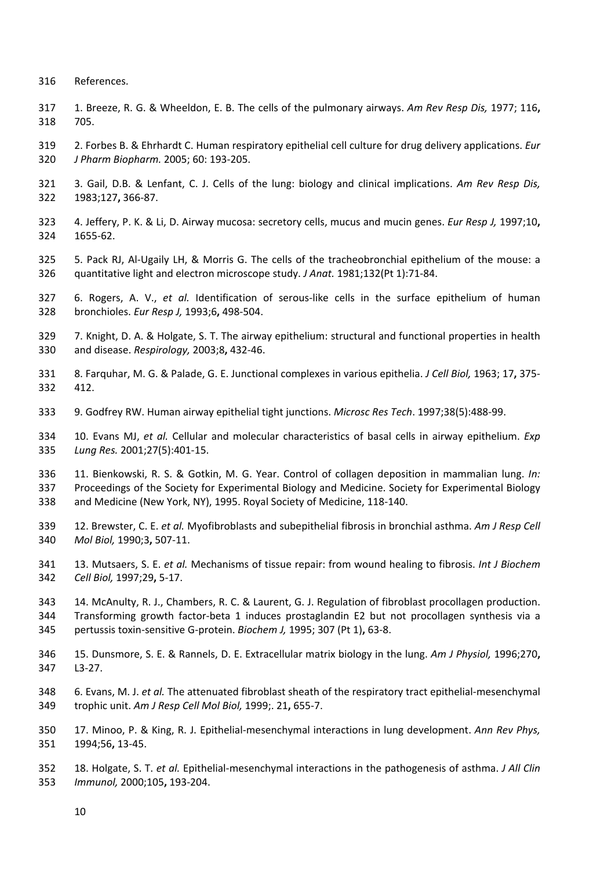- References.
- 1. Breeze, R. G. & Wheeldon, E. B. The cells of the pulmonary airways. *Am Rev Resp Dis,* 1977; 116**,** 705.
- 2. Forbes B. & Ehrhardt C. Human respiratory epithelial cell culture for drug delivery applications. *Eur J Pharm Biopharm.* 2005; 60: 193‐205.
- 3. Gail, D.B. & Lenfant, C. J. Cells of the lung: biology and clinical implications. *Am Rev Resp Dis,* 1983;127**,** 366‐87.
- 4. Jeffery, P. K. & Li, D. Airway mucosa: secretory cells, mucus and mucin genes. *Eur Resp J,* 1997;10**,** 1655‐62.
- 5. Pack RJ, Al‐Ugaily LH, & Morris G. The cells of the tracheobronchial epithelium of the mouse: a quantitative light and electron microscope study. *J Anat.* 1981;132(Pt 1):71‐84.
- 6. Rogers, A. V., *et al.* Identification of serous‐like cells in the surface epithelium of human bronchioles. *Eur Resp J,* 1993;6**,** 498‐504.
- 7. Knight, D. A. & Holgate, S. T. The airway epithelium: structural and functional properties in health and disease. *Respirology,* 2003;8**,** 432‐46.
- 8. Farquhar, M. G. & Palade, G. E. Junctional complexes in various epithelia. *J Cell Biol,* 1963; 17**,** 375‐ 412.
- 9. Godfrey RW. Human airway epithelial tight junctions. *Microsc Res Tech*. 1997;38(5):488‐99.
- 10. Evans MJ, *et al.* Cellular and molecular characteristics of basal cells in airway epithelium. *Exp Lung Res.* 2001;27(5):401‐15.
- 11. Bienkowski, R. S. & Gotkin, M. G. Year. Control of collagen deposition in mammalian lung. *In:* Proceedings of the Society for Experimental Biology and Medicine. Society for Experimental Biology and Medicine (New York, NY), 1995. Royal Society of Medicine, 118‐140.
- 12. Brewster, C. E. *et al.* Myofibroblasts and subepithelial fibrosis in bronchial asthma. *Am J Resp Cell Mol Biol,* 1990;3**,** 507‐11.
- 13. Mutsaers, S. E. *et al.* Mechanisms of tissue repair: from wound healing to fibrosis. *Int J Biochem Cell Biol,* 1997;29**,** 5‐17.
- 14. McAnulty, R. J., Chambers, R. C. & Laurent, G. J. Regulation of fibroblast procollagen production. Transforming growth factor‐beta 1 induces prostaglandin E2 but not procollagen synthesis via a pertussis toxin‐sensitive G‐protein. *Biochem J,* 1995; 307 (Pt 1)**,** 63‐8.
- 15. Dunsmore, S. E. & Rannels, D. E. Extracellular matrix biology in the lung. *Am J Physiol,* 1996;270**,** L3‐27.
- 6. Evans, M. J. *et al.* The attenuated fibroblast sheath of the respiratory tract epithelial‐mesenchymal trophic unit. *Am J Resp Cell Mol Biol,* 1999;. 21**,** 655‐7.
- 17. Minoo, P. & King, R. J. Epithelial‐mesenchymal interactions in lung development. *Ann Rev Phys,* 1994;56**,** 13‐45.
- 18. Holgate, S. T. *et al.* Epithelial‐mesenchymal interactions in the pathogenesis of asthma. *J All Clin Immunol,* 2000;105**,** 193‐204.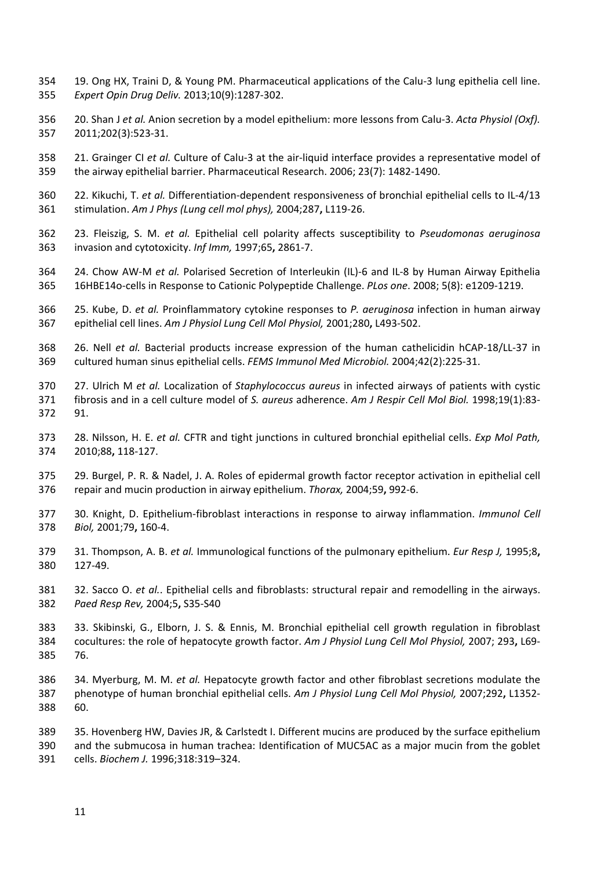- 19. Ong HX, Traini D, & Young PM. Pharmaceutical applications of the Calu‐3 lung epithelia cell line. *Expert Opin Drug Deliv.* 2013;10(9):1287‐302.
- 20. Shan J *et al.* Anion secretion by a model epithelium: more lessons from Calu‐3. *Acta Physiol (Oxf).* 2011;202(3):523‐31.
- 21. Grainger CI *et al.* Culture of Calu‐3 at the air‐liquid interface provides a representative model of the airway epithelial barrier. Pharmaceutical Research. 2006; 23(7): 1482‐1490.
- 22. Kikuchi, T. *et al.* Differentiation‐dependent responsiveness of bronchial epithelial cells to IL‐4/13 stimulation. *Am J Phys (Lung cell mol phys),* 2004;287**,** L119‐26.
- 23. Fleiszig, S. M. *et al.* Epithelial cell polarity affects susceptibility to *Pseudomonas aeruginosa* invasion and cytotoxicity. *Inf Imm,* 1997;65**,** 2861‐7.
- 24. Chow AW‐M *et al.* Polarised Secretion of Interleukin (IL)‐6 and IL‐8 by Human Airway Epithelia 16HBE14o‐cells in Response to Cationic Polypeptide Challenge. *PLos one*. 2008; 5(8): e1209‐1219.
- 25. Kube, D. *et al.* Proinflammatory cytokine responses to *P. aeruginosa* infection in human airway epithelial cell lines. *Am J Physiol Lung Cell Mol Physiol,* 2001;280**,** L493‐502.
- 26. Nell *et al.* Bacterial products increase expression of the human cathelicidin hCAP‐18/LL‐37 in cultured human sinus epithelial cells. *FEMS Immunol Med Microbiol.* 2004;42(2):225‐31.
- 27. Ulrich M *et al.* Localization of *Staphylococcus aureus* in infected airways of patients with cystic fibrosis and in a cell culture model of *S. aureus* adherence. *Am J Respir Cell Mol Biol.* 1998;19(1):83‐ 91.
- 28. Nilsson, H. E. *et al.* CFTR and tight junctions in cultured bronchial epithelial cells. *Exp Mol Path,* 2010;88**,** 118‐127.
- 29. Burgel, P. R. & Nadel, J. A. Roles of epidermal growth factor receptor activation in epithelial cell repair and mucin production in airway epithelium. *Thorax,* 2004;59**,** 992‐6.
- 30. Knight, D. Epithelium‐fibroblast interactions in response to airway inflammation. *Immunol Cell Biol,* 2001;79**,** 160‐4.
- 31. Thompson, A. B. *et al.* Immunological functions of the pulmonary epithelium. *Eur Resp J,* 1995;8**,** 127‐49.
- 32. Sacco O. *et al.*. Epithelial cells and fibroblasts: structural repair and remodelling in the airways. *Paed Resp Rev,* 2004;5**,** S35‐S40
- 33. Skibinski, G., Elborn, J. S. & Ennis, M. Bronchial epithelial cell growth regulation in fibroblast cocultures: the role of hepatocyte growth factor. *Am J Physiol Lung Cell Mol Physiol,* 2007; 293**,** L69‐ 76.
- 34. Myerburg, M. M. *et al.* Hepatocyte growth factor and other fibroblast secretions modulate the phenotype of human bronchial epithelial cells. *Am J Physiol Lung Cell Mol Physiol,* 2007;292**,** L1352‐ 60.
- 35. Hovenberg HW, Davies JR, & Carlstedt I. Different mucins are produced by the surface epithelium and the submucosa in human trachea: Identification of MUC5AC as a major mucin from the goblet cells. *Biochem J.* 1996;318:319–324.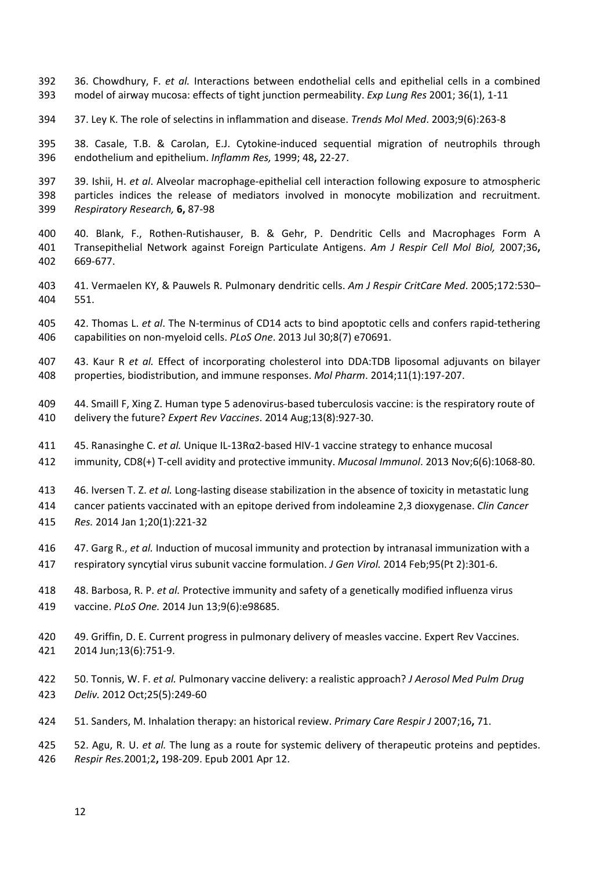- 36. Chowdhury, F. *et al.* Interactions between endothelial cells and epithelial cells in a combined model of airway mucosa: effects of tight junction permeability. *Exp Lung Res* 2001; 36(1), 1‐11
- 37. Ley K. The role of selectins in inflammation and disease. *Trends Mol Med*. 2003;9(6):263‐8

 38. Casale, T.B. & Carolan, E.J. Cytokine‐induced sequential migration of neutrophils through endothelium and epithelium. *Inflamm Res,* 1999; 48**,** 22‐27.

- 39. Ishii, H. *et al*. Alveolar macrophage‐epithelial cell interaction following exposure to atmospheric particles indices the release of mediators involved in monocyte mobilization and recruitment. *Respiratory Research,* **6,** 87‐98
- 40. Blank, F., Rothen‐Rutishauser, B. & Gehr, P. Dendritic Cells and Macrophages Form A Transepithelial Network against Foreign Particulate Antigens. *Am J Respir Cell Mol Biol,* 2007;36**,** 669‐677.
- 41. Vermaelen KY, & Pauwels R. Pulmonary dendritic cells. *Am J Respir CritCare Med*. 2005;172:530– 551.
- 42. Thomas L. *et al*. The N‐terminus of CD14 acts to bind apoptotic cells and confers rapid‐tethering capabilities on non‐myeloid cells. *PLoS One*. 2013 Jul 30;8(7) e70691.
- 43. Kaur R *et al.* Effect of incorporating cholesterol into DDA:TDB liposomal adjuvants on bilayer properties, biodistribution, and immune responses. *Mol Pharm*. 2014;11(1):197‐207.
- 409 44. Smaill F, Xing Z. Human type 5 adenovirus-based tuberculosis vaccine: is the respiratory route of delivery the future? *Expert Rev Vaccines*. 2014 Aug;13(8):927‐30.
- 45. Ranasinghe C. *et al.* Unique IL‐13Rα2‐based HIV‐1 vaccine strategy to enhance mucosal
- immunity, CD8(+) T‐cell avidity and protective immunity. *Mucosal Immunol*. 2013 Nov;6(6):1068‐80.
- 46. Iversen T. Z. *et al.* Long‐lasting disease stabilization in the absence of toxicity in metastatic lung

cancer patients vaccinated with an epitope derived from indoleamine 2,3 dioxygenase. *Clin Cancer*

- *Res.* 2014 Jan 1;20(1):221‐32
- 47. Garg R., *et al.* Induction of mucosal immunity and protection by intranasal immunization with a
- respiratory syncytial virus subunit vaccine formulation. *J Gen Virol.* 2014 Feb;95(Pt 2):301‐6.
- 48. Barbosa, R. P. *et al.* Protective immunity and safety of a genetically modified influenza virus vaccine. *PLoS One.* 2014 Jun 13;9(6):e98685.
- 49. Griffin, D. E. Current progress in pulmonary delivery of measles vaccine. Expert Rev Vaccines. 2014 Jun;13(6):751‐9.
- 50. Tonnis, W. F. *et al.* Pulmonary vaccine delivery: a realistic approach? *J Aerosol Med Pulm Drug Deliv.* 2012 Oct;25(5):249‐60
- 51. Sanders, M. Inhalation therapy: an historical review. *Primary Care Respir J* 2007;16**,** 71.

 52. Agu, R. U. *et al.* The lung as a route for systemic delivery of therapeutic proteins and peptides. *Respir Res.*2001;2**,** 198‐209. Epub 2001 Apr 12.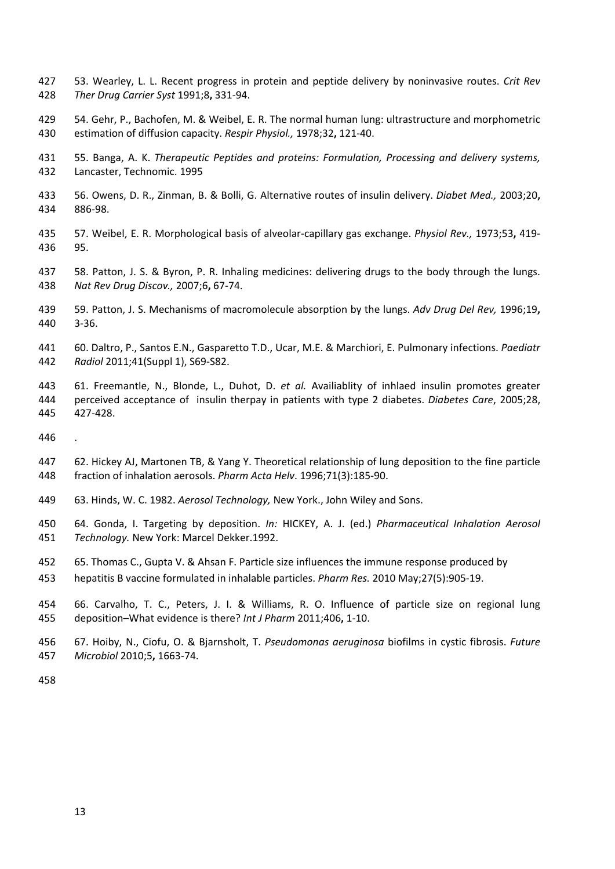- 53. Wearley, L. L. Recent progress in protein and peptide delivery by noninvasive routes. *Crit Rev Ther Drug Carrier Syst* 1991;8**,** 331‐94.
- 54. Gehr, P., Bachofen, M. & Weibel, E. R. The normal human lung: ultrastructure and morphometric estimation of diffusion capacity. *Respir Physiol.,* 1978;32**,** 121‐40.
- 55. Banga, A. K. *Therapeutic Peptides and proteins: Formulation, Processing and delivery systems,* Lancaster, Technomic. 1995
- 56. Owens, D. R., Zinman, B. & Bolli, G. Alternative routes of insulin delivery. *Diabet Med.,* 2003;20**,** 886‐98.
- 57. Weibel, E. R. Morphological basis of alveolar‐capillary gas exchange. *Physiol Rev.,* 1973;53**,** 419‐ 95.
- 58. Patton, J. S. & Byron, P. R. Inhaling medicines: delivering drugs to the body through the lungs. *Nat Rev Drug Discov.,* 2007;6**,** 67‐74.
- 59. Patton, J. S. Mechanisms of macromolecule absorption by the lungs. *Adv Drug Del Rev,* 1996;19**,** 3‐36.
- 60. Daltro, P., Santos E.N., Gasparetto T.D., Ucar, M.E. & Marchiori, E. Pulmonary infections. *Paediatr Radiol* 2011;41(Suppl 1), S69‐S82.
- 61. Freemantle, N., Blonde, L., Duhot, D. *et al.* Availiablity of inhlaed insulin promotes greater perceived acceptance of insulin therpay in patients with type 2 diabetes. *Diabetes Care*, 2005;28, 427‐428.
- 
- 62. Hickey AJ, Martonen TB, & Yang Y. Theoretical relationship of lung deposition to the fine particle fraction of inhalation aerosols. *Pharm Acta Helv*. 1996;71(3):185‐90.
- 63. Hinds, W. C. 1982. *Aerosol Technology,* New York., John Wiley and Sons.
- 64. Gonda, I. Targeting by deposition. *In:* HICKEY, A. J. (ed.) *Pharmaceutical Inhalation Aerosol Technology.* New York: Marcel Dekker.1992.
- 65. Thomas C., Gupta V. & Ahsan F. Particle size influences the immune response produced by
- hepatitis B vaccine formulated in inhalable particles. *Pharm Res.* 2010 May;27(5):905‐19.
- 66. Carvalho, T. C., Peters, J. I. & Williams, R. O. Influence of particle size on regional lung deposition–What evidence is there? *Int J Pharm* 2011;406**,** 1‐10.
- 67. Hoiby, N., Ciofu, O. & Bjarnsholt, T. *Pseudomonas aeruginosa* biofilms in cystic fibrosis. *Future Microbiol* 2010;5**,** 1663‐74.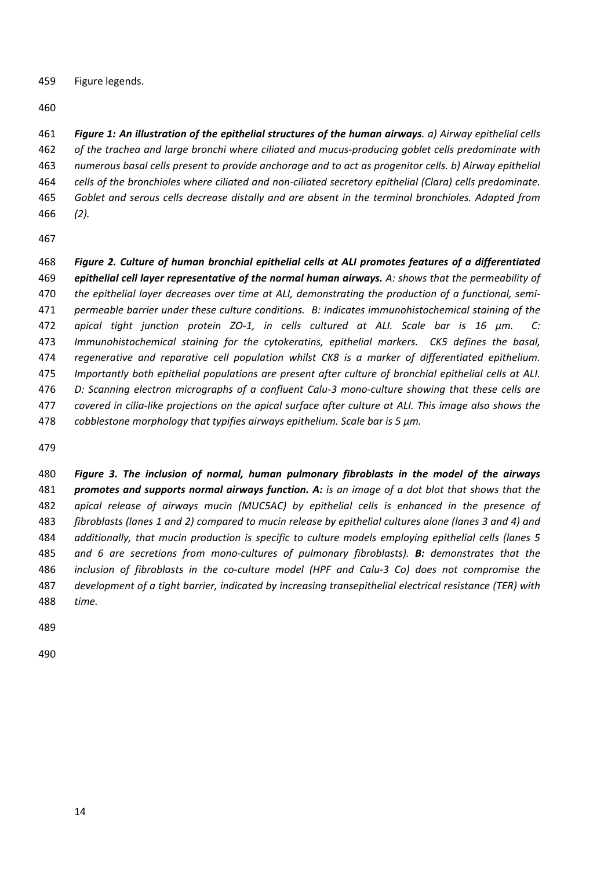Figure legends.

461 Figure 1: An illustration of the epithelial structures of the human airways. a) Airway epithelial cells *of the trachea and large bronchi where ciliated and mucus‐producing goblet cells predominate with numerous basal cells present to provide anchorage and to act as progenitor cells. b) Airway epithelial cells of the bronchioles where ciliated and non‐ciliated secretory epithelial (Clara) cells predominate. Goblet and serous cells decrease distally and are absent in the terminal bronchioles. Adapted from (2).*

 *Figure 2. Culture of human bronchial epithelial cells at ALI promotes features of a differentiated epithelial cell layer representative of the normal human airways. A: shows that the permeability of the epithelial layer decreases over time at ALI, demonstrating the production of a functional, semi‐ permeable barrier under these culture conditions. B: indicates immunohistochemical staining of the apical tight junction protein ZO‐1, in cells cultured at ALI. Scale bar is 16 µm. C: Immunohistochemical staining for the cytokeratins, epithelial markers. CK5 defines the basal, regenerative and reparative cell population whilst CK8 is a marker of differentiated epithelium. Importantly both epithelial populations are present after culture of bronchial epithelial cells at ALI.*  476 D: Scanning electron micrographs of a confluent Calu-3 mono-culture showing that these cells are 477 covered in cilia-like projections on the apical surface after culture at ALI. This image also shows the *cobblestone morphology that typifies airways epithelium. Scale bar is 5 µm.* 

 *Figure 3. The inclusion of normal, human pulmonary fibroblasts in the model of the airways* **promotes and supports normal airways function. A:** is an image of a dot blot that shows that the *apical release of airways mucin (MUC5AC) by epithelial cells is enhanced in the presence of* 483 fibroblasts (lanes 1 and 2) compared to mucin release by epithelial cultures alone (lanes 3 and 4) and *additionally, that mucin production is specific to culture models employing epithelial cells (lanes 5 and 6 are secretions from mono‐cultures of pulmonary fibroblasts). B: demonstrates that the* 486 inclusion of fibroblasts in the co-culture model (HPF and Calu-3 Co) does not compromise the *development of a tight barrier, indicated by increasing transepithelial electrical resistance (TER) with time.*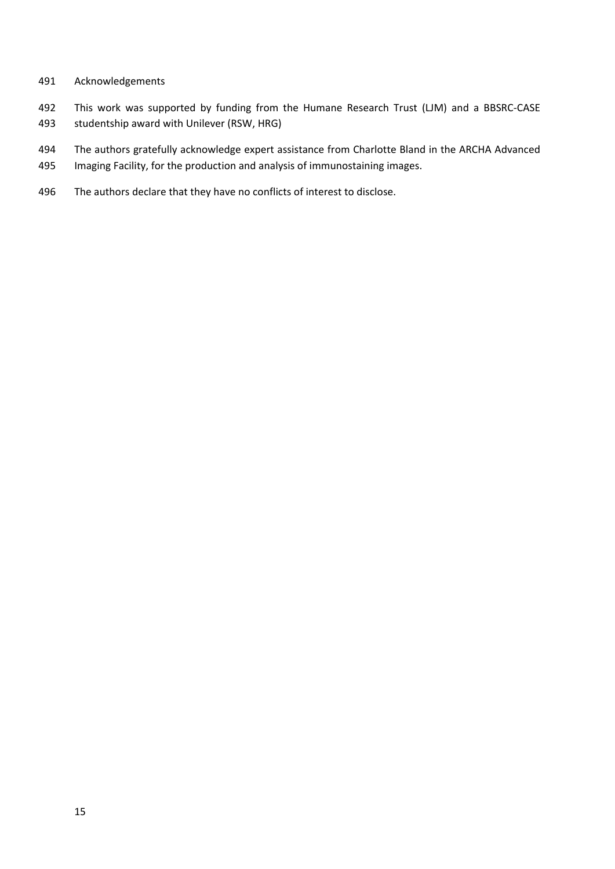- Acknowledgements
- 492 This work was supported by funding from the Humane Research Trust (LJM) and a BBSRC-CASE studentship award with Unilever (RSW, HRG)
- The authors gratefully acknowledge expert assistance from Charlotte Bland in the ARCHA Advanced
- Imaging Facility, for the production and analysis of immunostaining images.
- The authors declare that they have no conflicts of interest to disclose.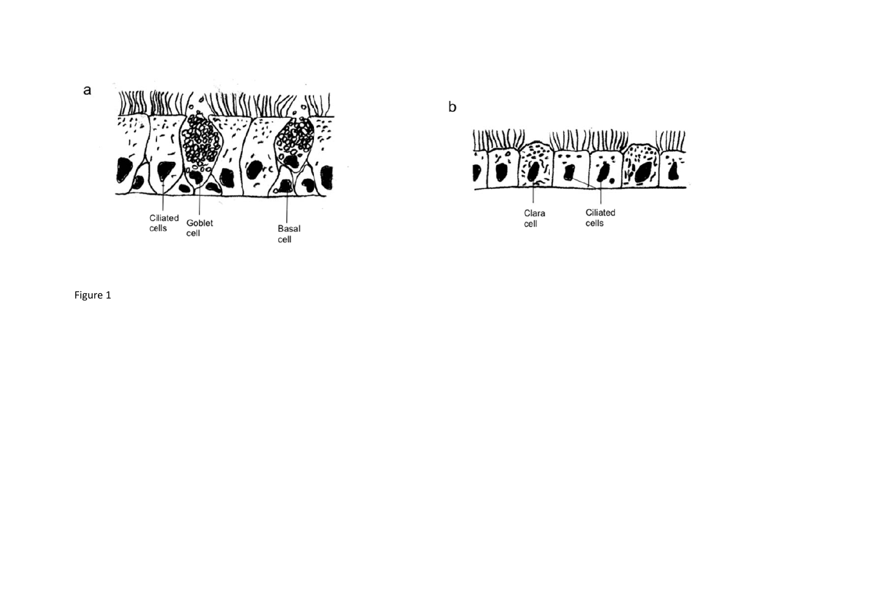





Figure 1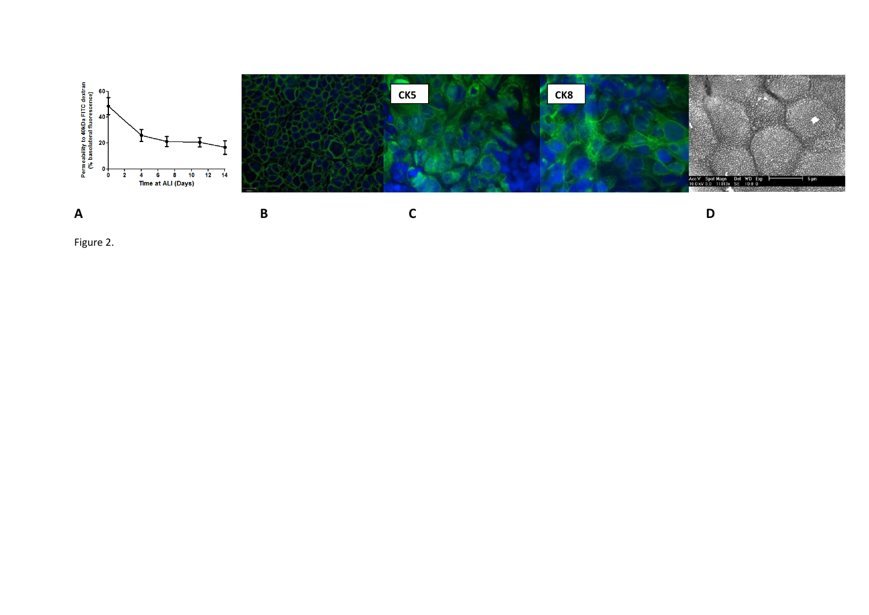